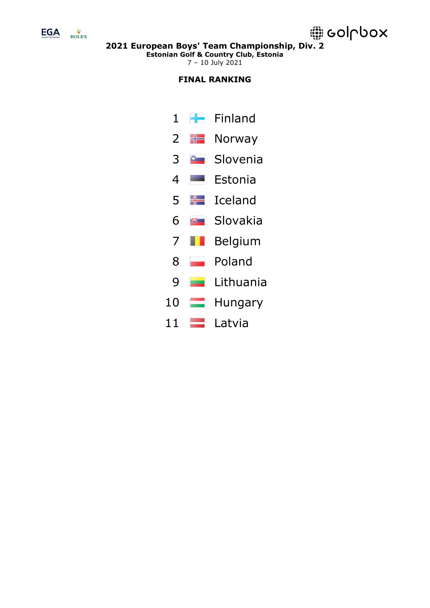

**Estonian Golf & Country Club, Estonia**

7 – 10 July 2021

# **FINAL RANKING**

1 Finland  $2 \div$  Norway 3 Slovenia 4 Estonia 5 **H** Iceland 6 Slovakia 7 **Belgium** 8 Poland 9 Lithuania 10 **Hungary** 11 **Latvia**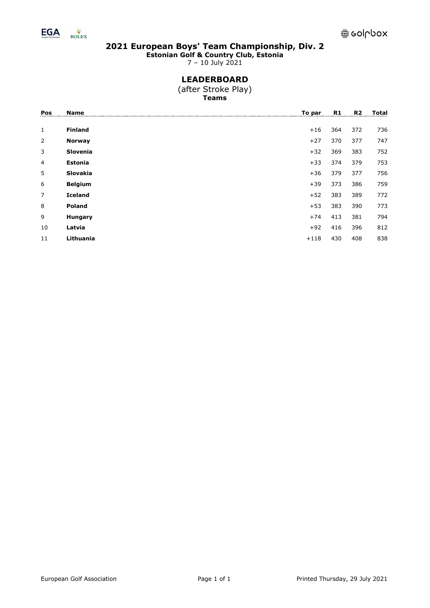

**Estonian Golf & Country Club, Estonia**

7 – 10 July 2021

# **LEADERBOARD**

(after Stroke Play) **Teams**

| Pos            | Name            | To par | R1  | <b>R2</b> | Total |
|----------------|-----------------|--------|-----|-----------|-------|
|                |                 |        |     |           |       |
| 1              | <b>Finland</b>  | $+16$  | 364 | 372       | 736   |
| 2              | <b>Norway</b>   | $+27$  | 370 | 377       | 747   |
| 3              | <b>Slovenia</b> | $+32$  | 369 | 383       | 752   |
| 4              | Estonia         | $+33$  | 374 | 379       | 753   |
| 5              | <b>Slovakia</b> | $+36$  | 379 | 377       | 756   |
| 6              | <b>Belgium</b>  | $+39$  | 373 | 386       | 759   |
| $\overline{7}$ | <b>Iceland</b>  | $+52$  | 383 | 389       | 772   |
| 8              | <b>Poland</b>   | $+53$  | 383 | 390       | 773   |
| 9              | Hungary         | $+74$  | 413 | 381       | 794   |
| 10             | Latvia          | $+92$  | 416 | 396       | 812   |
| 11             | Lithuania       | $+118$ | 430 | 408       | 838   |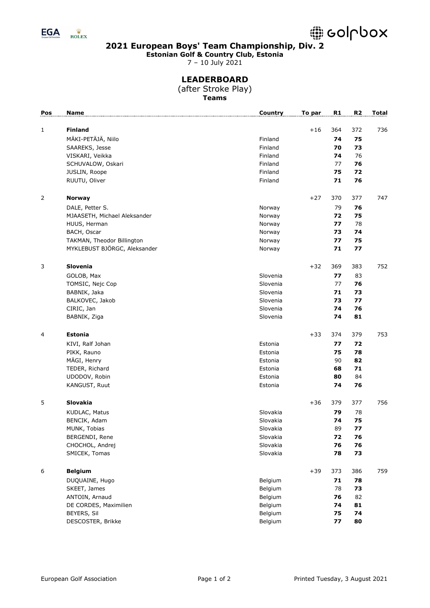

**Estonian Golf & Country Club, Estonia**

7 – 10 July 2021

# **LEADERBOARD**

(after Stroke Play) **Teams**

| Pos            | <b>Name</b>                  | Country  | To par | R1  | R <sub>2</sub> | <b>Total</b> |
|----------------|------------------------------|----------|--------|-----|----------------|--------------|
|                |                              |          |        |     |                |              |
| 1              | <b>Finland</b>               |          | $+16$  | 364 | 372            | 736          |
|                | MÄKI-PETÄJÄ, Niilo           | Finland  |        | 74  | 75             |              |
|                | SAAREKS, Jesse               | Finland  |        | 70  | 73             |              |
|                | VISKARI, Veikka              | Finland  |        | 74  | 76             |              |
|                | SCHUVALOW, Oskari            | Finland  |        | 77  | 76             |              |
|                | JUSLIN, Roope                | Finland  |        | 75  | 72             |              |
|                | RUUTU, Oliver                | Finland  |        | 71  | 76             |              |
|                |                              |          |        |     |                |              |
| $\overline{2}$ | <b>Norway</b>                |          | $+27$  | 370 | 377            | 747          |
|                | DALE, Petter S.              | Norway   |        | 79  | 76             |              |
|                | MJAASETH, Michael Aleksander | Norway   |        | 72  | 75             |              |
|                | HUUS, Herman                 | Norway   |        | 77  | 78             |              |
|                | BACH, Oscar                  | Norway   |        | 73  | 74             |              |
|                | TAKMAN, Theodor Billington   | Norway   |        | 77  | 75             |              |
|                | MYKLEBUST BJÖRGC, Aleksander | Norway   |        | 71  | 77             |              |
|                |                              |          |        |     |                |              |
| 3              | Slovenia                     |          | $+32$  | 369 | 383            | 752          |
|                | GOLOB, Max                   | Slovenia |        | 77  | 83             |              |
|                | TOMSIC, Nejc Cop             | Slovenia |        | 77  | 76             |              |
|                | BABNIK, Jaka                 | Slovenia |        | 71  | 73             |              |
|                | BALKOVEC, Jakob              | Slovenia |        | 73  | 77             |              |
|                | CIRIC, Jan                   | Slovenia |        | 74  | 76             |              |
|                | BABNIK, Ziga                 | Slovenia |        | 74  | 81             |              |
|                |                              |          |        |     |                |              |
| 4              | Estonia                      |          | $+33$  | 374 | 379            | 753          |
|                | KIVI, Ralf Johan             | Estonia  |        | 77  | 72             |              |
|                | PIKK, Rauno                  | Estonia  |        | 75  | 78             |              |
|                | MÄGI, Henry                  | Estonia  |        | 90  | 82             |              |
|                | TEDER, Richard               | Estonia  |        | 68  | 71             |              |
|                | UDODOV, Robin                | Estonia  |        | 80  | 84             |              |
|                |                              | Estonia  |        | 74  | 76             |              |
|                | KANGUST, Ruut                |          |        |     |                |              |
| 5              | Slovakia                     |          | $+36$  | 379 | 377            | 756          |
|                | KUDLAC, Matus                | Slovakia |        | 79  | 78             |              |
|                | BENCIK, Adam                 | Slovakia |        | 74  | 75             |              |
|                | MUNK, Tobias                 | Slovakia |        | 89  | 77             |              |
|                | BERGENDI, Rene               | Slovakia |        | 72  | 76             |              |
|                | CHOCHOL, Andrej              | Slovakia |        | 76  | 76             |              |
|                | SMICEK, Tomas                | Slovakia |        | 78  | 73             |              |
|                |                              |          |        |     |                |              |
| 6              | <b>Belgium</b>               |          | $+39$  | 373 | 386            | 759          |
|                | DUQUAINE, Hugo               | Belgium  |        | 71  | 78             |              |
|                | SKEET, James                 | Belgium  |        | 78  | 73             |              |
|                | ANTOIN, Arnaud               | Belgium  |        | 76  | 82             |              |
|                | DE CORDES, Maximilien        | Belgium  |        | 74  | 81             |              |
|                | BEYERS, Sil                  | Belgium  |        | 75  | 74             |              |
|                | DESCOSTER, Brikke            | Belgium  |        | 77  | 80             |              |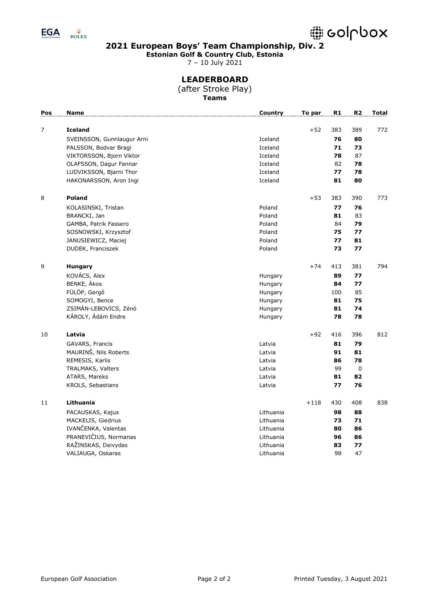

**Estonian Golf & Country Club, Estonia**

7 – 10 July 2021

# **LEADERBOARD**

(after Stroke Play) **Teams**

| Pos            | <b>Name</b>                | <b>Country</b> | To par | R1  | R <sub>2</sub> | <b>Total</b> |
|----------------|----------------------------|----------------|--------|-----|----------------|--------------|
| $\overline{7}$ | <b>Iceland</b>             |                | $+52$  | 383 | 389            | 772          |
|                | SVEINSSON, Gunnlaugur Arni | Iceland        |        | 76  | 80             |              |
|                | PALSSON, Bodvar Bragi      | Iceland        |        | 71  | 73             |              |
|                | VIKTORSSON, Bjorn Viktor   | Iceland        |        | 78  | 87             |              |
|                | OLAFSSON, Dagur Fannar     | Iceland        |        | 82  | 78             |              |
|                | LUDVIKSSON, Bjarni Thor    | Iceland        |        | 77  | 78             |              |
|                | HAKONARSSON, Aron Ingi     | Iceland        |        | 81  | 80             |              |
| 8              | <b>Poland</b>              |                | $+53$  | 383 | 390            | 773          |
|                | KOLASINSKI, Tristan        | Poland         |        | 77  | 76             |              |
|                | BRANCKI, Jan               | Poland         |        | 81  | 83             |              |
|                | GAMBA, Patrik Fassero      | Poland         |        | 84  | 79             |              |
|                | SOSNOWSKI, Krzysztof       | Poland         |        | 75  | 77             |              |
|                | JANUSIEWICZ, Maciej        | Poland         |        | 77  | 81             |              |
|                | DUDEK, Franciszek          | Poland         |        | 73  | 77             |              |
| 9              | <b>Hungary</b>             |                | $+74$  | 413 | 381            | 794          |
|                | KOVÁCS, Alex               | Hungary        |        | 89  | 77             |              |
|                | BENKE, Ákos                | Hungary        |        | 84  | 77             |              |
|                | FÜLÖP, Gergő               | Hungary        |        | 100 | 85             |              |
|                | SOMOGYI, Bence             | Hungary        |        | 81  | 75             |              |
|                | ZSIMÁN-LEBOVICS, Zénó      | Hungary        |        | 81  | 74             |              |
|                | KÁROLY, Ádám Endre         | Hungary        |        | 78  | 78             |              |
| 10             | Latvia                     |                | $+92$  | 416 | 396            | 812          |
|                | GAVARS, Francis            | Latvia         |        | 81  | 79             |              |
|                | MAURINŠ, Nils Roberts      | Latvia         |        | 91  | 81             |              |
|                | REMESIS, Karlis            | Latvia         |        | 86  | 78             |              |
|                | TRALMAKS, Valters          | Latvia         |        | 99  | $\pmb{0}$      |              |
|                | ATARS, Mareks              | Latvia         |        | 81  | 82             |              |
|                | KROLS, Sebastians          | Latvia         |        | 77  | 76             |              |
| 11             | Lithuania                  |                | $+118$ | 430 | 408            | 838          |
|                | PACAUSKAS, Kajus           | Lithuania      |        | 98  | 88             |              |
|                | MACKELIS, Giedrius         | Lithuania      |        | 73  | 71             |              |
|                | IVANČENKA, Valentas        | Lithuania      |        | 80  | 86             |              |
|                | PRANEVIČIUS, Normanas      | Lithuania      |        | 96  | 86             |              |
|                | RAŽINSKAS, Deivydas        | Lithuania      |        | 83  | 77             |              |
|                | VALIAUGA, Oskaras          | Lithuania      |        | 98  | 47             |              |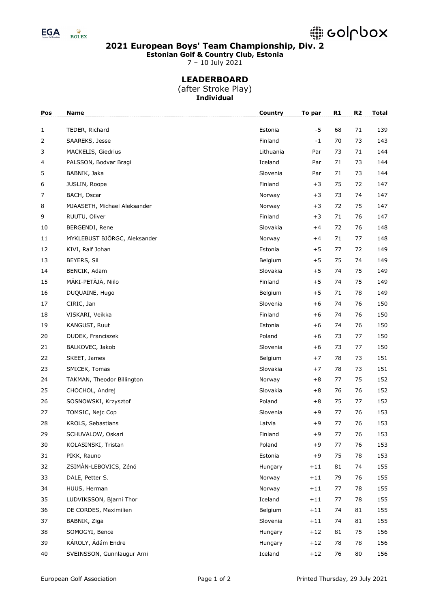

**Estonian Golf & Country Club, Estonia**

7 – 10 July 2021

# **LEADERBOARD**

(after Stroke Play) **Individual**

| Pos          | Name                         | Country   | To par | R1 | R <sub>2</sub> | <b>Total</b> |
|--------------|------------------------------|-----------|--------|----|----------------|--------------|
| $\mathbf{1}$ | TEDER, Richard               | Estonia   | $-5$   | 68 | 71             | 139          |
| 2            | SAAREKS, Jesse               | Finland   | $-1$   | 70 | 73             | 143          |
| 3            | MACKELIS, Giedrius           | Lithuania | Par    | 73 | 71             | 144          |
| 4            | PALSSON, Bodvar Bragi        | Iceland   | Par    | 71 | 73             | 144          |
| 5            | BABNIK, Jaka                 | Slovenia  | Par    | 71 | 73             | 144          |
| 6            | JUSLIN, Roope                | Finland   | $+3$   | 75 | 72             | 147          |
| 7            | BACH, Oscar                  | Norway    | $+3$   | 73 | 74             | 147          |
| 8            | MJAASETH, Michael Aleksander | Norway    | $+3$   | 72 | 75             | 147          |
| 9            | RUUTU, Oliver                | Finland   | $+3$   | 71 | 76             | 147          |
| 10           | BERGENDI, Rene               | Slovakia  | $+4$   | 72 | 76             | 148          |
| 11           | MYKLEBUST BJÖRGC, Aleksander | Norway    | $+4$   | 71 | 77             | 148          |
| 12           | KIVI, Ralf Johan             | Estonia   | $+5$   | 77 | 72             | 149          |
| 13           | BEYERS, Sil                  | Belgium   | $+5$   | 75 | 74             | 149          |
| 14           | BENCIK, Adam                 | Slovakia  | $+5$   | 74 | 75             | 149          |
| 15           | MÄKI-PETÄJÄ, Niilo           | Finland   | $+5$   | 74 | 75             | 149          |
| 16           | DUQUAINE, Hugo               | Belgium   | $+5$   | 71 | 78             | 149          |
| 17           | CIRIC, Jan                   | Slovenia  | $+6$   | 74 | 76             | 150          |
| 18           | VISKARI, Veikka              | Finland   | $+6$   | 74 | 76             | 150          |
| 19           | KANGUST, Ruut                | Estonia   | $+6$   | 74 | 76             | 150          |
| 20           | DUDEK, Franciszek            | Poland    | $+6$   | 73 | 77             | 150          |
| 21           | BALKOVEC, Jakob              | Slovenia  | $+6$   | 73 | 77             | 150          |
| 22           | SKEET, James                 | Belgium   | $+7$   | 78 | 73             | 151          |
| 23           | SMICEK, Tomas                | Slovakia  | $+7$   | 78 | 73             | 151          |
| 24           | TAKMAN, Theodor Billington   | Norway    | $+8$   | 77 | 75             | 152          |
| 25           | CHOCHOL, Andrej              | Slovakia  | $+8$   | 76 | 76             | 152          |
| 26           | SOSNOWSKI, Krzysztof         | Poland    | $+8$   | 75 | 77             | 152          |
| 27           | TOMSIC, Nejc Cop             | Slovenia  | $+9$   | 77 | 76             | 153          |
| 28           | KROLS, Sebastians            | Latvia    | $+9$   | 77 | 76             | 153          |
| 29           | SCHUVALOW, Oskari            | Finland   | $+9$   | 77 | 76             | 153          |
| 30           | KOLASINSKI, Tristan          | Poland    | $+9$   | 77 | 76             | 153          |
| 31           | PIKK, Rauno                  | Estonia   | $+9$   | 75 | 78             | 153          |
| 32           | ZSIMÁN-LEBOVICS, Zénó        | Hungary   | $+11$  | 81 | 74             | 155          |
| 33           | DALE, Petter S.              | Norway    | $+11$  | 79 | 76             | 155          |
| 34           | HUUS, Herman                 | Norway    | $+11$  | 77 | 78             | 155          |
| 35           | LUDVIKSSON, Bjarni Thor      | Iceland   | $+11$  | 77 | 78             | 155          |
| 36           | DE CORDES, Maximilien        | Belgium   | $+11$  | 74 | 81             | 155          |
| 37           | BABNIK, Ziga                 | Slovenia  | $+11$  | 74 | 81             | 155          |
| 38           | SOMOGYI, Bence               | Hungary   | $+12$  | 81 | 75             | 156          |
| 39           | KÁROLY, Ádám Endre           | Hungary   | $+12$  | 78 | 78             | 156          |
| 40           | SVEINSSON, Gunnlaugur Arni   | Iceland   | $+12$  | 76 | 80             | 156          |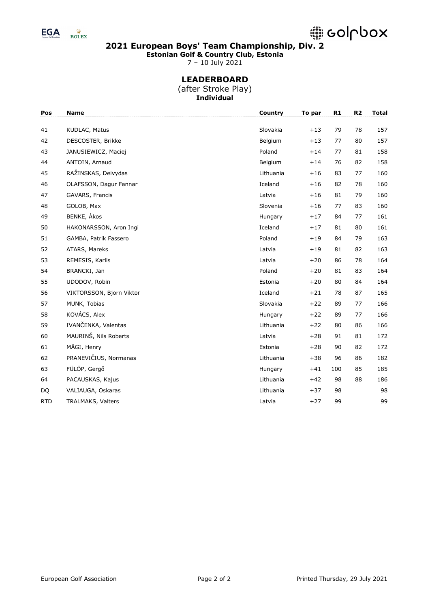

**Estonian Golf & Country Club, Estonia**

7 – 10 July 2021

# **LEADERBOARD**

(after Stroke Play) **Individual**

| Pos        | <b>Name</b>              | Country   | To par | $\mathbf{R1}$ | R2 | <b>Total</b> |
|------------|--------------------------|-----------|--------|---------------|----|--------------|
| 41         | KUDLAC, Matus            | Slovakia  | $+13$  | 79            | 78 | 157          |
| 42         | DESCOSTER, Brikke        | Belgium   | $+13$  | 77            | 80 | 157          |
| 43         | JANUSIEWICZ, Maciej      | Poland    | $+14$  | 77            | 81 | 158          |
| 44         | ANTOIN, Arnaud           | Belgium   | $+14$  | 76            | 82 | 158          |
| 45         | RAŽINSKAS, Deivydas      | Lithuania | $+16$  | 83            | 77 | 160          |
| 46         | OLAFSSON, Dagur Fannar   | Iceland   | $+16$  | 82            | 78 | 160          |
| 47         | GAVARS, Francis          | Latvia    | $+16$  | 81            | 79 | 160          |
| 48         | GOLOB, Max               | Slovenia  | $+16$  | 77            | 83 | 160          |
| 49         | BENKE, Ákos              | Hungary   | $+17$  | 84            | 77 | 161          |
| 50         | HAKONARSSON, Aron Ingi   | Iceland   | $+17$  | 81            | 80 | 161          |
| 51         | GAMBA, Patrik Fassero    | Poland    | $+19$  | 84            | 79 | 163          |
| 52         | ATARS, Mareks            | Latvia    | $+19$  | 81            | 82 | 163          |
| 53         | REMESIS, Karlis          | Latvia    | $+20$  | 86            | 78 | 164          |
| 54         | BRANCKI, Jan             | Poland    | $+20$  | 81            | 83 | 164          |
| 55         | UDODOV, Robin            | Estonia   | $+20$  | 80            | 84 | 164          |
| 56         | VIKTORSSON, Bjorn Viktor | Iceland   | $+21$  | 78            | 87 | 165          |
| 57         | MUNK, Tobias             | Slovakia  | $+22$  | 89            | 77 | 166          |
| 58         | KOVÁCS, Alex             | Hungary   | $+22$  | 89            | 77 | 166          |
| 59         | IVANČENKA, Valentas      | Lithuania | $+22$  | 80            | 86 | 166          |
| 60         | MAURINŠ, Nils Roberts    | Latvia    | $+28$  | 91            | 81 | 172          |
| 61         | MÄGI, Henry              | Estonia   | $+28$  | 90            | 82 | 172          |
| 62         | PRANEVIČIUS, Normanas    | Lithuania | $+38$  | 96            | 86 | 182          |
| 63         | FÜLÖP, Gergő             | Hungary   | $+41$  | 100           | 85 | 185          |
| 64         | PACAUSKAS, Kajus         | Lithuania | $+42$  | 98            | 88 | 186          |
| DQ         | VALIAUGA, Oskaras        | Lithuania | $+37$  | 98            |    | 98           |
| <b>RTD</b> | TRALMAKS, Valters        | Latvia    | $+27$  | 99            |    | 99           |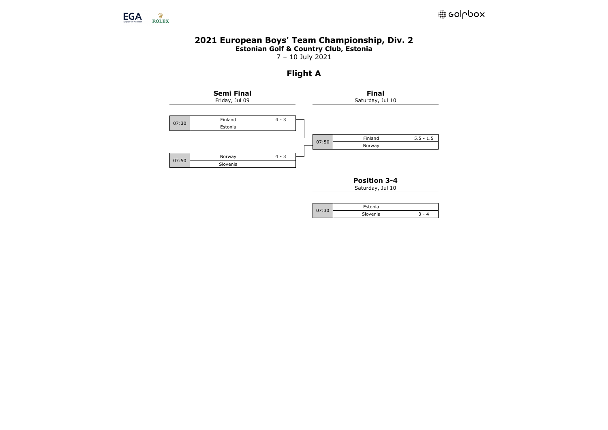

### **2021 European Boys' Team Championship, Div. 2 Estonian Golf & Country Club, Estonia**

7 – 10 July 2021

# **Flight A**



**Position 3-4**

| Estonia  |  |
|----------|--|
| Slovenia |  |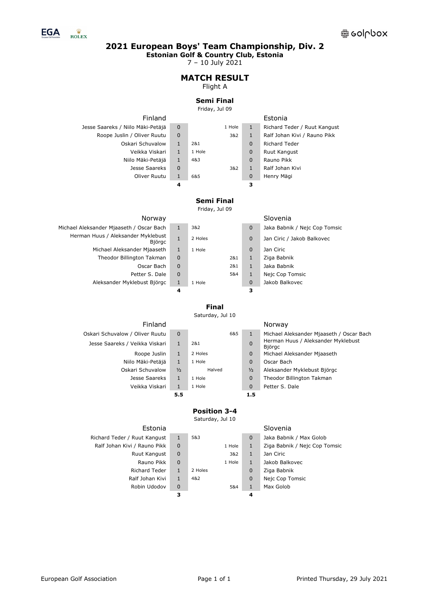

**Estonian Golf & Country Club, Estonia**

7 – 10 July 2021

# **MATCH RESULT**

# Flight A

#### **Semi Final**

#### Friday, Jul 09

| Finland                           |             |        |        |              | Estonia                      |
|-----------------------------------|-------------|--------|--------|--------------|------------------------------|
| Jesse Saareks / Niilo Mäki-Petäjä | $\Omega$    |        | 1 Hole | 1            | Richard Teder / Ruut Kangust |
| Roope Juslin / Oliver Ruutu       | $\mathbf 0$ |        | 3&2    | 1            | Ralf Johan Kivi / Rauno Pikk |
| Oskari Schuvalow                  | 1           | 281    |        | $\Omega$     | <b>Richard Teder</b>         |
| Veikka Viskari                    | 1           | 1 Hole |        | $\Omega$     | Ruut Kangust                 |
| Niilo Mäki-Petäjä                 | 1           | 4&3    |        | $\Omega$     | Rauno Pikk                   |
| Jesse Saareks                     | $\mathbf 0$ |        | 3&2    | $\mathbf{1}$ | Ralf Johan Kivi              |
| Oliver Ruutu                      |             | 6&5    |        | $\Omega$     | Henry Mägi                   |
|                                   | 4           |        |        | з            |                              |

# **Semi Final**

Friday, Jul 09

| Norway                                       |             |         |     |          | Slovenia                      |
|----------------------------------------------|-------------|---------|-----|----------|-------------------------------|
| Michael Aleksander Mjaaseth / Oscar Bach     | 1           | 3&2     |     | $\Omega$ | Jaka Babnik / Nejc Cop Tomsic |
| Herman Huus / Aleksander Myklebust<br>Björgc | 1           | 2 Holes |     | 0        | Jan Ciric / Jakob Balkovec    |
| Michael Aleksander Mjaaseth                  | 1           | 1 Hole  |     | 0        | Jan Ciric                     |
| Theodor Billington Takman                    | $\mathbf 0$ |         | 2&1 | 1        | Ziga Babnik                   |
| Oscar Bach                                   | $\Omega$    |         | 2&1 | 1        | Jaka Babnik                   |
| Petter S. Dale                               | $\mathbf 0$ |         | 5&4 | 1        | Nejc Cop Tomsic               |
| Aleksander Myklebust Björgc                  | 1           | 1 Hole  |     | $\Omega$ | Jakob Balkovec                |
|                                              | 4           |         |     | з        |                               |

Oskari Schuvalow / Oliver

| $\Omega$     | Jaka Babnik / Nejc Cop Tomsic |
|--------------|-------------------------------|
| $\Omega$     | Jan Ciric / Jakob Balkovec    |
| $\Omega$     | Jan Ciric                     |
| $\mathbf{1}$ | Ziga Babnik                   |
| $\mathbf{1}$ | Jaka Bahnik                   |
| $\mathbf{1}$ | Nejc Cop Tomsic               |
| 0            | Jakob Balkovec                |
| 3            |                               |
|              |                               |

# **Final**

Saturday, Jul 10

| Finland                        |               |         |                | Norway                                       |
|--------------------------------|---------------|---------|----------------|----------------------------------------------|
| skari Schuvalow / Oliver Ruutu | $\Omega$      | 6&5     | 1              | Michael Aleksander Miaaseth / Oscar Bach     |
| Jesse Saareks / Veikka Viskari | $\mathbf{1}$  | 2&1     | $\overline{0}$ | Herman Huus / Aleksander Myklebust<br>Biörac |
| Roope Juslin                   | $\mathbf{1}$  | 2 Holes | $\mathbf 0$    | Michael Aleksander Mjaaseth                  |
| Niilo Mäki-Petäjä              | $\mathbf{1}$  | 1 Hole  | $\mathbf 0$    | Oscar Bach                                   |
| Oskari Schuvalow               | $\frac{1}{2}$ | Halved  | $\frac{1}{2}$  | Aleksander Myklebust Björgc                  |
| Jesse Saareks                  | $\mathbf{1}$  | 1 Hole  | $\mathbf 0$    | Theodor Billington Takman                    |
| Veikka Viskari                 | $\mathbf{1}$  | 1 Hole  | $\mathbf 0$    | Petter S. Dale                               |
|                                | 5.5           |         | 1.5            |                                              |

# **Position 3-4**

| Estonia                      |              |         |        |          | Slovenia                      |
|------------------------------|--------------|---------|--------|----------|-------------------------------|
| Richard Teder / Ruut Kangust | 1            | 5&3     |        | $\Omega$ | Jaka Babnik / Max Golob       |
| Ralf Johan Kivi / Rauno Pikk | $\Omega$     |         | 1 Hole | 1        | Ziga Babnik / Nejc Cop Tomsic |
| Ruut Kangust                 | 0            |         | 3&2    | 1        | Jan Ciric                     |
| Rauno Pikk                   | $\mathbf 0$  |         | 1 Hole | 1        | Jakob Balkovec                |
| Richard Teder                | 1            | 2 Holes |        | $\Omega$ | Ziga Babnik                   |
| Ralf Johan Kivi              | $\mathbf{1}$ | 4&2     |        | $\Omega$ | Nejc Cop Tomsic               |
| Robin Udodov                 | 0            |         | 5&4    |          | Max Golob                     |
|                              | з            |         |        | 4        |                               |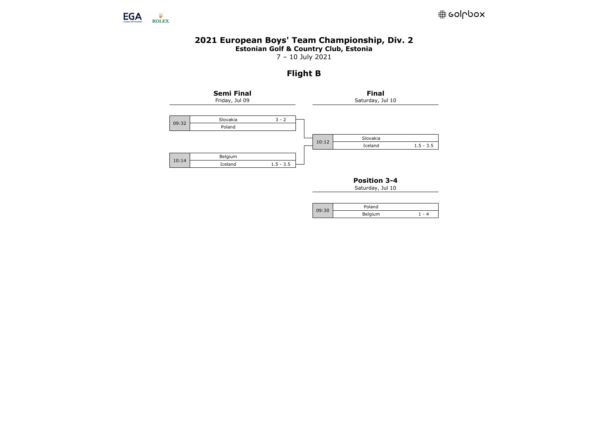

# **2021 European Boys' Team Championship, Div. 2 Estonian Golf & Country Club, Estonia**

7 – 10 July 2021

# **Flight B**



**Position 3-4**

| <b>00.20</b> | Poland  |  |
|--------------|---------|--|
|              | Belgium |  |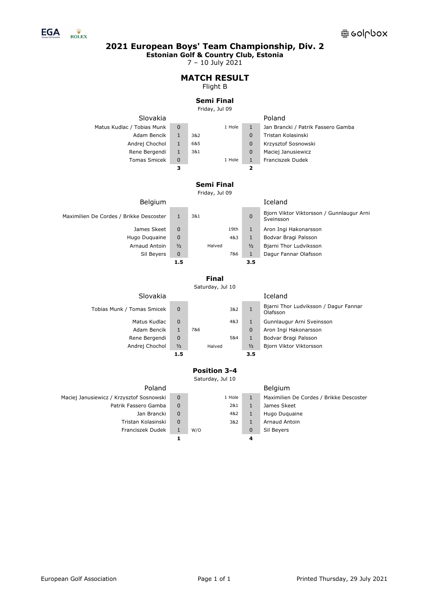

**Estonian Golf & Country Club, Estonia**

7 – 10 July 2021

#### **MATCH RESULT** Flight B

# **Semi Final**

Friday, Jul 09

Slovakia Poland Matus Kudlac / Tobias Munk 0 1 1 Hole 1 Jan Brancki / Patrik Fassero Gamba Adam Bencik 1 3&2 0 Tristan Kolasinski Andrej Chochol 1 6&5 0 Krzysztof Sosnowski Rene Bergendi 1 3&1 0 Maciej Janusiewicz Tomas Smicek 0 1 Hole 1 Franciszek Dudek **3 2**

# **Semi Final**

Friday, Jul 09

| <b>Belgium</b>                          |               |        |               | Iceland                                                |
|-----------------------------------------|---------------|--------|---------------|--------------------------------------------------------|
| Maximilien De Cordes / Brikke Descoster |               | 3&1    | $\Omega$      | Bjorn Viktor Viktorsson / Gunnlaugur Arni<br>Sveinsson |
| James Skeet                             | $\Omega$      | 19th   | 1             | Aron Ingi Hakonarsson                                  |
| Hugo Duguaine                           | $\mathbf 0$   | 4&3    | $\mathbf{1}$  | Bodvar Bragi Palsson                                   |
| Arnaud Antoin                           | $\frac{1}{2}$ | Halved | $\frac{1}{2}$ | Bjarni Thor Ludviksson                                 |
| Sil Beyers                              | $\mathbf 0$   | 7&6    | 1             | Dagur Fannar Olafsson                                  |
|                                         | 1.5           |        | 3.5           |                                                        |

# **Final**

Saturday, Jul 10

|   |                                |     |               | <b>Bjorn Vikt</b>                     |
|---|--------------------------------|-----|---------------|---------------------------------------|
|   |                                |     |               | Bodvar Br                             |
|   |                                |     |               |                                       |
|   |                                |     |               | Aron Ingi                             |
| 0 |                                | 4&3 | $\mathbf{1}$  | Gunnlaug                              |
| 0 |                                | 3&2 | $\mathbf{1}$  | Bjarni Tho<br>Olafsson                |
|   |                                |     |               | Iceland                               |
|   | 1<br>0<br>$\frac{1}{2}$<br>1.5 | 7&6 | 5&4<br>Halved | $\Omega$<br>1<br>$\frac{1}{2}$<br>3.5 |

| Bjarni Thor Ludviksson / Dagur Fannar<br>Olafsson |
|---------------------------------------------------|
| Gunnlaugur Arni Sveinsson                         |
| Aron Ingi Hakonarsson                             |
| Bodvar Bragi Palsson                              |
| Bjorn Viktor Viktorsson                           |
|                                                   |

# **Position 3-4**

Saturday, Jul 10

|             |        |             | <b>Belgium</b>                          |
|-------------|--------|-------------|-----------------------------------------|
| 0           | 1 Hole | 1           | Maximilien De Cordes / Brikke Descoster |
| $\mathbf 0$ | 2&1    | 1           | James Skeet                             |
| $\mathbf 0$ | 4&2    | 1           | Hugo Duguaine                           |
| $\mathbf 0$ | 3&2    | 1           | Arnaud Antoin                           |
| 1           | W/O    | $\mathbf 0$ | Sil Beyers                              |
|             |        | 4           |                                         |

# Tobias Munk / Tomas Smicek 0 1 882 1

Patrik Fassero Gamba

Maciej Janusiewicz / Krzysztof Sosnowski

Poland

Jan Brancki Tristan Kolasinski Franciszek Dudek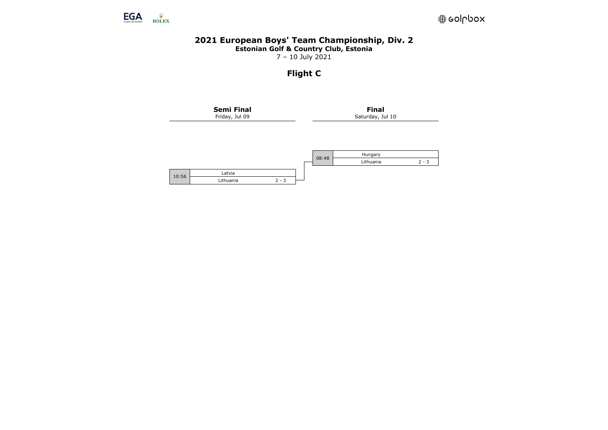

## **2021 European Boys' Team Championship, Div. 2 Estonian Golf & Country Club, Estonia**

7 – 10 July 2021

# **Flight C**